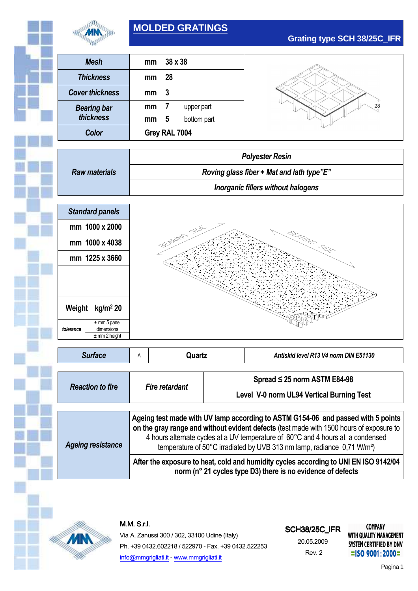

# **MOLDED GRATINGS**

| <b>Mesh</b>            | mm            |    | $38 \times 38$ |
|------------------------|---------------|----|----------------|
| <b>Thickness</b>       | mm            | 28 |                |
| <b>Cover thickness</b> | mm            | 3  |                |
| <b>Bearing bar</b>     | mm            | 7  | upper part     |
| thickness              | mm            | 5  | bottom part    |
| Color                  | Grey RAL 7004 |    |                |

 $28$ 

**Grating type SCH 38/25C\_IFR**

|                      | <b>Polyester Resin</b>                    |
|----------------------|-------------------------------------------|
| <b>Raw materials</b> | Roving glass fiber + Mat and lath type"E" |
|                      | Inorganic fillers without halogens        |



| <b>Surface</b>           | A                                                                                                                                                                                                                                                                                                                                                     | Quartz |                                           | Antiskid level R13 V4 norm DIN E51130 |  |
|--------------------------|-------------------------------------------------------------------------------------------------------------------------------------------------------------------------------------------------------------------------------------------------------------------------------------------------------------------------------------------------------|--------|-------------------------------------------|---------------------------------------|--|
|                          |                                                                                                                                                                                                                                                                                                                                                       |        |                                           |                                       |  |
| <b>Reaction to fire</b>  | <b>Fire retardant</b>                                                                                                                                                                                                                                                                                                                                 |        | Spread $\leq$ 25 norm ASTM E84-98         |                                       |  |
|                          |                                                                                                                                                                                                                                                                                                                                                       |        | Level V-0 norm UL94 Vertical Burning Test |                                       |  |
|                          |                                                                                                                                                                                                                                                                                                                                                       |        |                                           |                                       |  |
| <b>Ageing resistance</b> | Ageing test made with UV lamp according to ASTM G154-06 and passed with 5 points<br>on the gray range and without evident defects (test made with 1500 hours of exposure to<br>4 hours alternate cycles at a UV temperature of 60°C and 4 hours at a condensed<br>temperature of 50°C irradiated by UVB 313 nm lamp, radiance 0,71 W/m <sup>2</sup> ) |        |                                           |                                       |  |
|                          | After the exposure to heat, cold and humidity cycles according to UNI EN ISO 9142/04<br>norm (n° 21 cycles type D3) there is no evidence of defects                                                                                                                                                                                                   |        |                                           |                                       |  |



# Via A. Zanussi 300 / 302, 33100 Udine (Italy) Ph. +39 0432.602218 / 522970 - Fax. +39 0432.522253 info@mmgrigliati.it - www.mmgrigliati.it

# **SCH38/25C\_IFR**